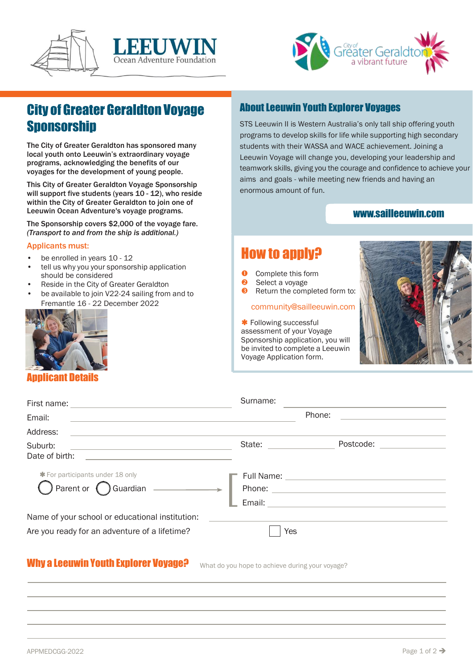



# City of Greater Geraldton Voyage **Sponsorship**

The City of Greater Geraldton has sponsored many local youth onto Leeuwin's extraordinary voyage programs, acknowledging the benefits of our voyages for the development of young people.

This City of Greater Geraldton Voyage Sponsorship will support five students (years 10 - 12), who reside within the City of Greater Geraldton to join one of Leeuwin Ocean Adventure's voyage programs.

The Sponsorship covers \$2,000 of the voyage fare. *(Transport to and from the ship is additional.)*

#### Applicants must:

- be enrolled in years 10 12
- tell us why you your sponsorship application should be considered
- Reside in the City of Greater Geraldton
- be available to join V22-24 sailing from and to Fremantle 16 - 22 December 2022



# Applicant Details

# **About Leeuwin Youth Explorer Voyages**

STS Leeuwin II is Western Australia's only tall ship offering youth programs to develop skills for life while supporting high secondary students with their WASSA and WACE achievement. Joining a Leeuwin Voyage will change you, developing your leadership and teamwork skills, giving you the courage and confidence to achieve your aims and goals - while meeting new friends and having an enormous amount of fun.

# [www.sailleeuwin.com](http://www.sailleeuwin.com/)

# Howto apply?

- **O** Complete this form<br>**Q** Select a voyage
- Select a voyage
- **8** Return the completed form to:

#### [community@sailleeuwin.com](mailto:community@sailleeuwin.com)

**\*** Following successful assessment of your Voyage Sponsorship application, you will be invited to complete a Leeuwin Voyage Application form.



|                                                                                                                                   | Surname:                     |                                              |
|-----------------------------------------------------------------------------------------------------------------------------------|------------------------------|----------------------------------------------|
| Email:                                                                                                                            |                              | Phone:                                       |
| Address:<br><u> 1980 - Andrea State Barbara, amerikan personal di sebagai personal di sebagai personal di sebagai personal di</u> |                              |                                              |
| Suburb:<br><u> 1990 - Johann Johann Harry Communication (</u><br>Date of birth:                                                   | State: <u>______________</u> | Postcode:                                    |
| <b>*</b> For participants under 18 only<br>$\big)$ Parent or $\bigcirc$ Guardian $\qquad \qquad$                                  |                              | Email: <u>______________________________</u> |
| Name of your school or educational institution:<br>Are you ready for an adventure of a lifetime?                                  | Yes                          |                                              |
|                                                                                                                                   |                              |                                              |

# Why a Leeuwin Youth Explorer Voyage? What do you hope to achieve during your voyage?